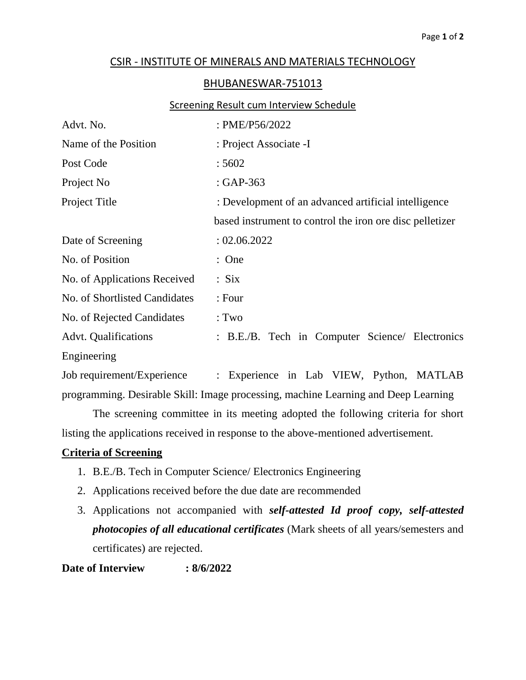## CSIR - INSTITUTE OF MINERALS AND MATERIALS TECHNOLOGY

## BHUBANESWAR-751013

## Screening Result cum Interview Schedule

| Advt. No.                     | : PME/P56/2022                                           |  |  |
|-------------------------------|----------------------------------------------------------|--|--|
| Name of the Position          | : Project Associate -I                                   |  |  |
| Post Code                     | :5602                                                    |  |  |
| Project No                    | : GAP-363                                                |  |  |
| Project Title                 | : Development of an advanced artificial intelligence     |  |  |
|                               | based instrument to control the iron ore disc pelletizer |  |  |
| Date of Screening             | : 02.06.2022                                             |  |  |
| No. of Position               | : One                                                    |  |  |
| No. of Applications Received  | : Six                                                    |  |  |
| No. of Shortlisted Candidates | : Four                                                   |  |  |
| No. of Rejected Candidates    | : Two                                                    |  |  |
| <b>Advt.</b> Qualifications   | : B.E./B. Tech in Computer Science/ Electronics          |  |  |
| Engineering                   |                                                          |  |  |
| Job requirement/Experience    | Experience in Lab VIEW, Python, MATLAB<br>$\ddot{\cdot}$ |  |  |

programming. Desirable Skill: Image processing, machine Learning and Deep Learning

The screening committee in its meeting adopted the following criteria for short listing the applications received in response to the above-mentioned advertisement.

## **Criteria of Screening**

- 1. B.E./B. Tech in Computer Science/ Electronics Engineering
- 2. Applications received before the due date are recommended
- 3. Applications not accompanied with *self-attested Id proof copy, self-attested photocopies of all educational certificates* (Mark sheets of all years/semesters and certificates) are rejected.

**Date of Interview : 8/6/2022**